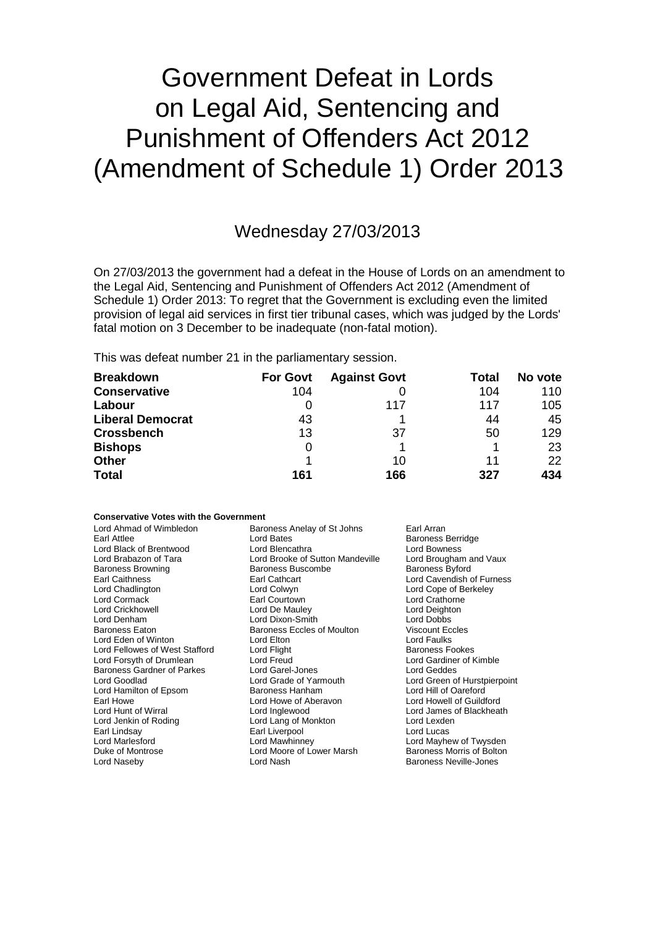# Government Defeat in Lords on Legal Aid, Sentencing and Punishment of Offenders Act 2012 (Amendment of Schedule 1) Order 2013

## Wednesday 27/03/2013

On 27/03/2013 the government had a defeat in the House of Lords on an amendment to the Legal Aid, Sentencing and Punishment of Offenders Act 2012 (Amendment of Schedule 1) Order 2013: To regret that the Government is excluding even the limited provision of legal aid services in first tier tribunal cases, which was judged by the Lords' fatal motion on 3 December to be inadequate (non-fatal motion).

This was defeat number 21 in the parliamentary session.

| <b>Breakdown</b>        | <b>For Govt</b> | <b>Against Govt</b> | Total | No vote |
|-------------------------|-----------------|---------------------|-------|---------|
| <b>Conservative</b>     | 104             |                     | 104   | 110     |
| Labour                  |                 | 117                 | 117   | 105     |
| <b>Liberal Democrat</b> | 43              |                     | 44    | 45      |
| <b>Crossbench</b>       | 13              | 37                  | 50    | 129     |
| <b>Bishops</b>          | 0               |                     |       | 23      |
| <b>Other</b>            |                 | 10                  | 11    | 22      |
| <b>Total</b>            | 161             | 166                 | 327   | 434     |

#### **Conservative Votes with the Government**

| Earl Attlee                       | Lord Bates                       | <b>Baroness Berridge</b>      |
|-----------------------------------|----------------------------------|-------------------------------|
| Lord Black of Brentwood           | Lord Blencathra                  | Lord Bowness                  |
| Lord Brabazon of Tara             | Lord Brooke of Sutton Mandeville | Lord Brougham and Vaux        |
| <b>Baroness Browning</b>          | Baroness Buscombe                | <b>Baroness Byford</b>        |
| <b>Earl Caithness</b>             | Earl Cathcart                    | Lord Cavendish of Furness     |
| Lord Chadlington                  | Lord Colwyn                      | Lord Cope of Berkeley         |
| Lord Cormack                      | Earl Courtown                    | Lord Crathorne                |
| <b>Lord Crickhowell</b>           | Lord De Mauley                   | Lord Deighton                 |
| Lord Denham                       | Lord Dixon-Smith                 | Lord Dobbs                    |
| Baroness Eaton                    | Baroness Eccles of Moulton       | <b>Viscount Eccles</b>        |
| Lord Eden of Winton               | Lord Elton                       | Lord Faulks                   |
| Lord Fellowes of West Stafford    | Lord Flight                      | <b>Baroness Fookes</b>        |
| Lord Forsyth of Drumlean          | Lord Freud                       | Lord Gardiner of Kimble       |
| <b>Baroness Gardner of Parkes</b> | Lord Garel-Jones                 | Lord Geddes                   |
| Lord Goodlad                      | Lord Grade of Yarmouth           | Lord Green of Hurstpierpoint  |
| Lord Hamilton of Epsom            | Baroness Hanham                  | Lord Hill of Oareford         |
| Earl Howe                         | Lord Howe of Aberavon            | Lord Howell of Guildford      |
| Lord Hunt of Wirral               | Lord Inglewood                   | Lord James of Blackheath      |
| Lord Jenkin of Roding             | Lord Lang of Monkton             | Lord Lexden                   |
| Earl Lindsay                      | Earl Liverpool                   | Lord Lucas                    |
| Lord Marlesford                   | Lord Mawhinney                   | Lord Mayhew of Twysden        |
| Duke of Montrose                  | Lord Moore of Lower Marsh        | Baroness Morris of Bolton     |
| Lord Naseby                       | Lord Nash                        | <b>Baroness Neville-Jones</b> |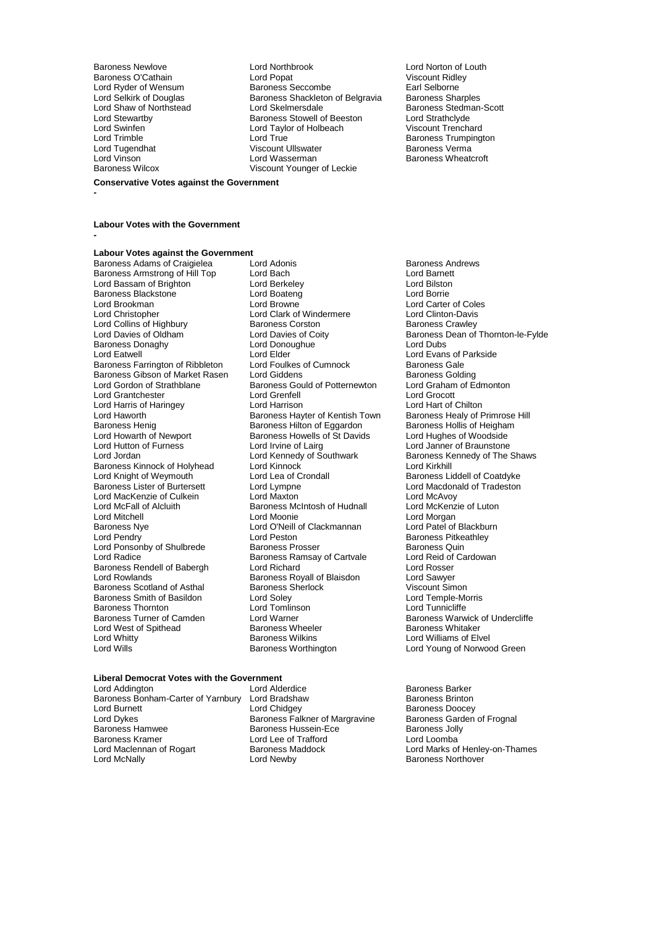Lord Swinfen **Lord Taylor of Holbeach Lord Trimble**<br>
Lord Trimble **Viscount Trenchard Lord True** Lord Tugendhat **Viscount Ullswater Viscount Ullswater**<br>
Lord Vinson<br>
Lord Wasserman

Baroness Newlove Lord Northbrook Lord Norton of Louth Baroness O'Cathain Lord Popat Viscount Ridley Lord Ryder of Wensum Baroness Seccombe Earl Selborne<br>
Lord Selkirk of Douglas Baroness Shackleton of Belgravia Baroness Sharples Lord Selkirk of Douglas Baroness Shackleton of Belgravia<br>
Lord Shaw of Northstead
Baroness Shackleton of Belgravia Lord Shaw of Northstead Lord Skelmersdale **Baroness Stedman-Scott**<br>
Lord Stewartby **Baroness Stewell of Beeston** Lord Strathclyde Lord Stewartby **Baroness Stowell of Beeston** Lord Strathclyde<br>
Lord Swinfen **Baroness Stowell of Beeston** Viscount Trenchard Lord Trimble **Communist Communist Communist Communist Communist Communist Communist Communist Communist Communist Communist Communist Communist Communist Communist Communist Communist Communist Communist Communist Communis** Lord Vinson Lord Wasserman Baroness Wheatcroft Viscount Younger of Leckie

#### **Conservative Votes against the Government**

**-**

### **Labour Votes with the Government**

**-**

## **Labour Votes against the Government**

Baroness Armstrong of Hill Top Lord Bach Lord Barnett<br>
Lord Bassam of Brighton Lord Berkeley Cord Barnett Lord Bassam of Brighton **Lord Berkeley Lord Bilston Lord Bilston Cord Bilston**<br>
Lord Boaten Lord Boateng<br>
Lord Borrie Baroness Blackstone Lord Boateng Lord Borrie Lord Brookman Lord Browne Lord Carter of Coles<br>
Lord Christopher Lord Clark of Windermere Lord Clinton-Davis Lord Collins of Highbury **Baroness Corston**<br> **Lord Davies of Oldham Baroness Corston Lord Davies of Coitv** Baroness Donaghy Lord Dono<br>
Lord Eatwell Lord Elder Baroness Farrington of Ribbleton Lord Foulkes of Cumnock Baroness Gale<br>Baroness Gibson of Market Rasen Lord Giddens Commock Baroness Golding Baroness Gibson of Market Rasen Lord Giddens<br>Lord Gordon of Strathblane Baroness Gould of Potternewton Lord Grantchester Lord Grenfell Lord Grocott Lord Harris of Haringey **Lord Harrison**<br>
Lord Haworth **Lord Hart of Chilton** Baroness Hayter of Kentish Town Lord Haworth **Exercise Baroness Hayter of Kentish Town** Baroness Healy of Primrose Hill<br>Baroness Henig Baroness Hillton of Eggardon Baroness Hollis of Heigham Baroness Henig **Baroness Hilton of Eggardon** Baroness Hollis of Heighar<br>
Lord Howarth of Newport Baroness Howells of St Davids Lord Hughes of Woodside Lord Howarth of Newport Baroness Howells of St Davids<br>Lord Hutton of Furness Lord Irvine of Lairg Lord Hutton of Furness Lord Irvine of Lairg Lord Janner of Braunstone Baroness Kinnock of Holyhead Lord Kinnock<br>
Lord Knight of Weymouth Lord Lea of Crondall Lord Knight of Weymouth **Lord Lea of Crondall** Baroness Liddell of Coatdyke<br>
Baroness Lister of Burtersett Lord Lord Lympne **Lord Macdonald of Tradeston** Lord MacKenzie of Culkein Lord Maxton Lord Maxton Lord McAvoy<br>
Lord McFall of Alcluith **Lord McKenzie of Luton** Baroness McIntosh of Hudnall Lord McKenzie of Luton Lord McFall of Alcluith Baroness McIntosh of Hudnall<br>
Lord Mitchell<br>
Lord Moonie Lord Mitchell **Lord Moonie** Lord Moonie **Lord Lord Morgan**<br>
Baroness Nve **Lord Collact Lord C'hell of Clackmannan** Lord Patel of Blackburn Baroness Nye Lord O'Neill of Clackmannan<br>
Lord Peston<br>
Lord Peston Lord Ponsonby of Shulbrede Baroness Prosser Baroness Quin<br>
Baroness Ramsav of Cartvale Lord Reid of Cardowan<br>
Lord Reid of Cardowan Examples Rendell of Babergh Lord Richard<br>
Lord Rosser Lord Rosser<br>
Lord Rowlands Cord Baroness Royall of Blaisdon Lord Sawyer Baroness Scotland of Asthal Baroness Sherlock Niscount Simon<br>Baroness Smith of Basildon Bord Solev Corporation Corporation Corporation Corporation Baroness Smith of Basildon Lord Soley Lord Temple-Morris Lord Temple-Morris Lord Temple-Morris Lord Tunnicliffe Baroness Thornton Lord Tomlins<br>
Baroness Turner of Camden Lord Warner Lord West of Spithead Baroness Wheeler Baroness Wheeler Baroness Wilkins Lord Whitty **Communist Communist Communist Communist Communist Communist Communist Communist Communist Communist Communist Communist Communist Communist Communist Communist Communist Communist Communist Communist Communist** 

Baroness Adams of Craigielea Lord Adonis<br>
Baroness Armstrong of Hill Top Lord Bach<br>
Lord Baroness Armstrong of Hill Top Lord Bach Lord Clark of Windermere Lord Clinton-Davis<br>Baroness Corston Baroness Crawley Lord Elder  $\overline{\phantom{a}}$ <br>
Lord Foulkes of Cumnock Baroness Gale Baroness Gould of Potternewton Lord Graham of Edmonton<br>Lord Grenfell Cord Grocott Lord Kennedy of Southwark Baroness K<br>Lord Kinnock Baroness Kennedy of The Shaws Baroness Kennedy of The Shaws Baroness Kennedy Shaws Baroness Kenne Lord Lympne<br>
Lord Maxton<br>
Lord MacAvoy Lord Peston **Communist Communist Communist Person** Baroness Pitkeathley<br>
Baroness Prosser **Baroness** Quin Baroness Ramsay of Cartvale Lord Reid of Lord Richard<br>
Lord Richard Carl Lord Rosser Baroness Royall of Blaisdon Lord Sawyer<br>
Baroness Sherlock Corporation Corporation Corporation Lord Warner **Camen Lord Warner Camen Lord Warner Camen Lord Warner Camen Lord Warner Baroness Warwick of Undercliffe**<br>Baroness Wheeler **Baroness Whitaker** 

Lord Davies of Coity **Baroness Dean of Thornton-le-Fylde**<br>
Lord Donoughue **Baroness Dean of Thornton-le-Fylde** Lord Young of Norwood Green

### **Liberal Democrat Votes with the Government**

Lord Addington Lord Alderdice Baroness Barker Baroness Bonham-Carter of Yarnbury Lord Bradshaw<br>Lord Burnett Baroness Baroness Baroness Lord Burnett Lord Chidgey Cord Chidgey Baroness Doocey<br>
Lord Dykes Baroness Falkner of Margravine Baroness Garden of Frognal Lord Dykes **Baroness Falkner of Margravine** Baroness Gard<br>Baroness Hamwee **Baroness Hussein-Ece** Baroness Jolly Baroness Hamwee **Baroness Hussein-Ece** Baroness Jolly<br>Baroness Kramer **Baroness Hussein-Ece Baroness Hussein-** Lord Loomba Baroness Kramer **Lord Lee of Trafford**<br>
Lord Maclennan of Rogart **Baroness Maddock** Lord McNally **Community** Lord Newby **Community** Baroness Northover

Lord Marks of Henley-on-Thames